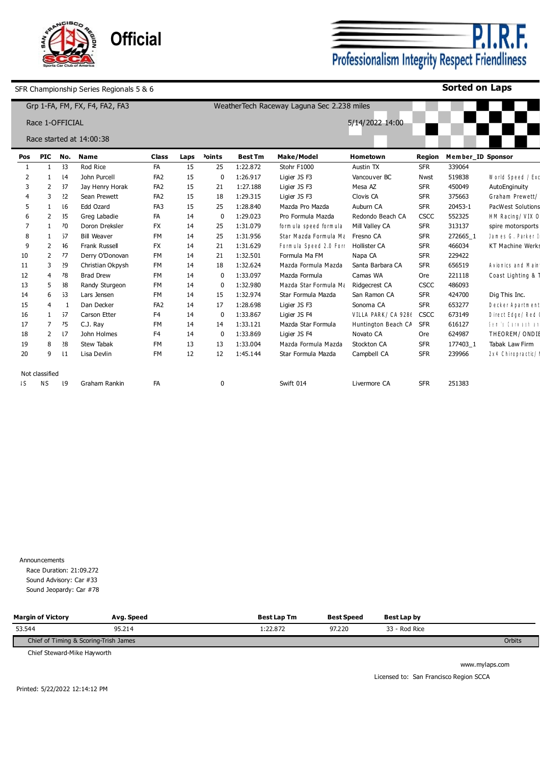

**P.I.R.F.**<br>Professionalism Integrity Respect Friendliness

**Sorted on Laps**

| Grp 1-FA, FM, FX, F4, FA2, FA3<br>WeatherTech Raceway Laguna Sec 2.238 miles |                 |              |                          |                 |      |                    |                |                         |                     |             |                   |                          |
|------------------------------------------------------------------------------|-----------------|--------------|--------------------------|-----------------|------|--------------------|----------------|-------------------------|---------------------|-------------|-------------------|--------------------------|
|                                                                              | Race 1-OFFICIAL |              |                          |                 |      |                    |                |                         | 5/14/2022 14:00     |             |                   |                          |
|                                                                              |                 |              | Race started at 14:00:38 |                 |      |                    |                |                         |                     |             |                   |                          |
| Pos                                                                          | <b>PIC</b>      | No.          | <b>Name</b>              | <b>Class</b>    | Laps | <sup>2</sup> oints | <b>Best Tm</b> | <b>Make/Model</b>       | Hometown            | Region      | Member ID Sponsor |                          |
| -1                                                                           |                 | 33           | Rod Rice                 | FA              | 15   | 25                 | 1:22.872       | Stohr F1000             | Austin TX           | <b>SFR</b>  | 339064            |                          |
| 2                                                                            |                 | 14           | John Purcell             | FA <sub>2</sub> | 15   | $\Omega$           | 1:26.917       | Ligier JS F3            | Vancouver BC        | Nwst        | 519838            | World Speed / Exc        |
| 3                                                                            | $\overline{2}$  | 37           | Jay Henry Horak          | FA <sub>2</sub> | 15   | 21                 | 1:27.188       | Ligier JS F3            | Mesa AZ             | <b>SFR</b>  | 450049            | AutoEnginuity            |
|                                                                              | 3               | 22           | Sean Prewett             | FA <sub>2</sub> | 15   | 18                 | 1:29.315       | Ligier JS F3            | Clovis CA           | <b>SFR</b>  | 375663            | Graham Prewett/          |
| 5                                                                            |                 | 16           | Edd Ozard                | FA <sub>3</sub> | 15   | 25                 | 1:28.840       | Mazda Pro Mazda         | Auburn CA           | <b>SFR</b>  | 20453-1           | <b>PacWest Solutions</b> |
|                                                                              | $\mathcal{P}$   | 35           | Greg Labadie             | FA              | 14   | $\Omega$           | 1:29.023       | Pro Formula Mazda       | Redondo Beach CA    | CSCC        | 552325            | HM Racing/ VIX 0         |
|                                                                              |                 | 70           | Doron Dreksler           | <b>FX</b>       | 14   | 25                 | 1:31.079       | form ula speed form ula | Mill Valley CA      | <b>SFR</b>  | 313137            | spire motorsports        |
| 8                                                                            |                 | 57           | <b>Bill Weaver</b>       | <b>FM</b>       | 14   | 25                 | 1:31.956       | Star Mazda Formula Ma   | Fresno CA           | <b>SFR</b>  | 272665 1          | James G. Parker I        |
| 9                                                                            | $\mathcal{P}$   | 16           | Frank Russell            | <b>FX</b>       | 14   | 21                 | 1:31.629       | Formula Speed 2.0 Forr  | Hollister CA        | <b>SFR</b>  | 466034            | <b>KT Machine Werks</b>  |
| 10                                                                           | $\overline{2}$  | 77           | Derry O'Donovan          | <b>FM</b>       | 14   | 21                 | 1:32.501       | Formula Ma FM           | Napa CA             | <b>SFR</b>  | 229422            |                          |
| 11                                                                           | 3               | 29           | Christian Okpysh         | <b>FM</b>       | 14   | 18                 | 1:32.624       | Mazda Formula Mazda     | Santa Barbara CA    | <b>SFR</b>  | 656519            | Avionics and Main        |
| 12                                                                           | 4               | 78           | <b>Brad Drew</b>         | <b>FM</b>       | 14   | $\Omega$           | 1:33.097       | Mazda Formula           | Camas WA            | Ore         | 221118            | Coast Lighting & 1       |
| 13                                                                           | 5               | 38           | Randy Sturgeon           | <b>FM</b>       | 14   | $\Omega$           | 1:32.980       | Mazda Star Formula Ma   | Ridgecrest CA       | CSCC        | 486093            |                          |
| 14                                                                           | 6               | 53           | Lars Jensen              | <b>FM</b>       | 14   | 15                 | 1:32.974       | Star Formula Mazda      | San Ramon CA        | <b>SFR</b>  | 424700            | Dig This Inc.            |
| 15                                                                           | 4               |              | Dan Decker               | FA <sub>2</sub> | 14   | 17                 | 1:28.698       | Ligier JS F3            | Sonoma CA           | <b>SFR</b>  | 653277            | Decker Apartment         |
| 16                                                                           | 1               | 57           | Carson Etter             | F <sub>4</sub>  | 14   | $\Omega$           | 1:33.867       | Ligier JS F4            | VILLA PARK/ CA 9286 | <b>CSCC</b> | 673149            | Direct Edge/Red          |
| 17                                                                           | $\overline{7}$  | 75           | C.J. Ray                 | <b>FM</b>       | 14   | 14                 | 1:33.121       | Mazda Star Formula      | Huntington Beach CA | <b>SFR</b>  | 616127            | Sen 's Carmashian        |
| 18                                                                           | $\overline{2}$  | 17           | John Holmes              | F <sub>4</sub>  | 14   | $\Omega$           | 1:33.869       | Ligier JS F4            | Novato CA           | Ore         | 624987            | THEOREM/ONDIE            |
| 19                                                                           | 8               | 28           | <b>Stew Tabak</b>        | <b>FM</b>       | 13   | 13                 | 1:33.004       | Mazda Formula Mazda     | Stockton CA         | <b>SFR</b>  | 177403 1          | Tabak Law Firm           |
| 20                                                                           | 9               | $\mathbf{1}$ | Lisa Devlin              | <b>FM</b>       | 12   | 12                 | 1:45.144       | Star Formula Mazda      | Campbell CA         | <b>SFR</b>  | 239966            | 2 x 4 Chiropractic/      |
|                                                                              |                 |              |                          |                 |      |                    |                |                         |                     |             |                   |                          |
|                                                                              | Not classified  |              |                          |                 |      |                    |                |                         |                     |             |                   |                          |
| IS.                                                                          | ΝS              | 19           | Graham Rankin            | FA              |      | 0                  |                | Swift 014               | Livermore CA        | <b>SFR</b>  | 251383            |                          |
|                                                                              |                 |              |                          |                 |      |                    |                |                         |                     |             |                   |                          |

Announcements Race Duration: 21:09.272 Sound Advisory: Car #33 Sound Jeopardy: Car #78

| <b>Margin of Victory</b>              | Avg. Speed | <b>Best Lap Tm</b> | Best Speed | Best Lap by   |        |
|---------------------------------------|------------|--------------------|------------|---------------|--------|
| 53.544                                | 95.214     | :22.872            | 97.220     | 33 - Rod Rice |        |
| Chief of Timing & Scoring-Trish James |            |                    |            |               | Orbits |

Chief Steward-Mike Hayworth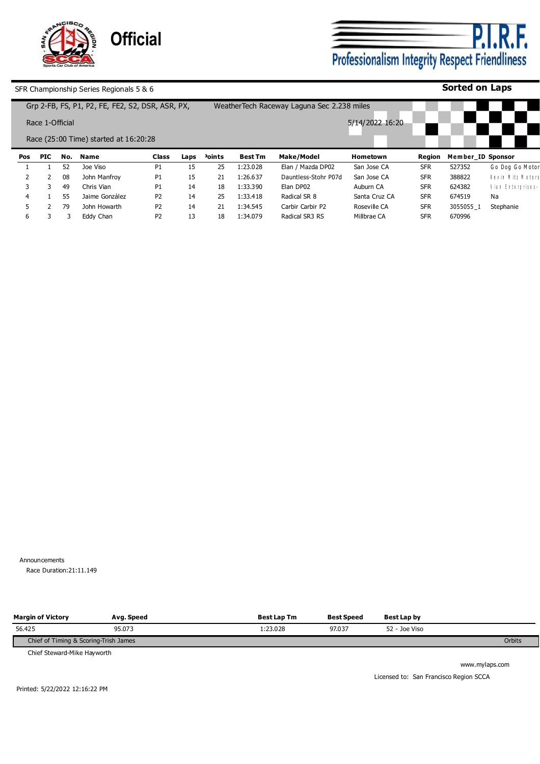

**P.I.R.F.**<br>Professionalism Integrity Respect Friendliness

**Sorted on Laps**

SFR Championship Series Regionals 5 & 6

|            |                 |     | Grp 2-FB, FS, P1, P2, FE, FE2, S2, DSR, ASR, PX, |                |      |                       |                | Weather Tech Raceway Laguna Sec 2.238 miles |                 |            |                   |                   |
|------------|-----------------|-----|--------------------------------------------------|----------------|------|-----------------------|----------------|---------------------------------------------|-----------------|------------|-------------------|-------------------|
|            | Race 1-Official |     |                                                  |                |      |                       |                |                                             | 5/14/2022 16:20 |            |                   |                   |
|            |                 |     | Race (25:00 Time) started at 16:20:28            |                |      |                       |                |                                             |                 |            |                   |                   |
| <b>Pos</b> | <b>PIC</b>      | No. | <b>Name</b>                                      | <b>Class</b>   | Laps | <sup>&gt;</sup> oints | <b>Best Tm</b> | Make/Model                                  | Hometown        | Region     | Member ID Sponsor |                   |
|            |                 | 52  | Joe Viso                                         | P1             | 15   | 25                    | l:23.028       | Elan / Mazda DP02                           | San Jose CA     | <b>SFR</b> | 527352            | Go Dog Go Motor   |
|            |                 | 08  | John Manfrov                                     | P1             | 15   | 21                    | 1:26.637       | Dauntless-Stohr P07d                        | San Jose CA     | <b>SFR</b> | 388822            | Kevin Mitz Motors |
|            |                 | 49  | Chris Vian                                       | P1             | 14   | 18                    | 1:33.390       | Elan DP02                                   | Auburn CA       | <b>SFR</b> | 624382            | Vian Enterprises- |
|            |                 | 55  | Jaime González                                   | P <sub>2</sub> | 14   | 25                    | 1:33.418       | Radical SR 8                                | Santa Cruz CA   | <b>SFR</b> | 674519            | Na                |
|            |                 | 79  | John Howarth                                     | P <sub>2</sub> | 14   | 21                    | 1:34.545       | Carbir Carbir P2                            | Roseville CA    | <b>SFR</b> | 3055055 1         | Stephanie         |
| 6          |                 |     | Eddy Chan                                        | P2             | 13   | 18                    | 1:34.079       | Radical SR3 RS                              | Millbrae CA     | <b>SFR</b> | 670996            |                   |

Announcements Race Duration: 21:11.149

| <b>Margin of Victory</b>              | Avg. Speed | <b>Best Lap Tm</b> | <b>Best Speed</b> | Best Lap by   |        |
|---------------------------------------|------------|--------------------|-------------------|---------------|--------|
| 56.425                                | 95.073     | 1:23.028           | 97.037            | 52 - Joe Viso |        |
| Chief of Timing & Scoring-Trish James |            |                    |                   |               | Orbits |

Chief Steward-Mike Hayworth

www.mylaps.com Licensed to: San Francisco Region SCCA

Printed: 5/22/2022 12:16:22 PM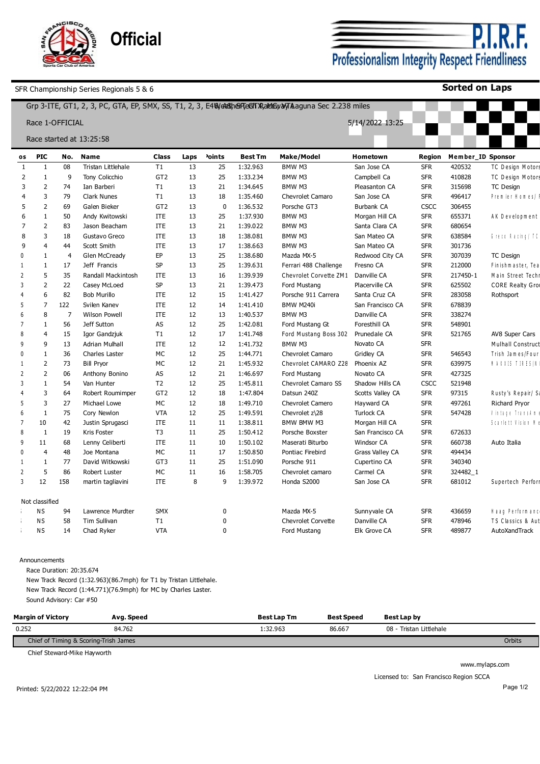

P.I. F. Professionalism Integrity Respect Friendliness

**Sorted on Laps**

|                 |                      |                |                          |                 |      |                    |                | Grp 3-ITE, GT1, 2, 3, PC, GTA, EP, SMX, SS, T1, 2, 3, E4We& SheFFeGFTXRaldEDyaVTA aguna Sec 2.238 miles |                        |            |                   |                         |
|-----------------|----------------------|----------------|--------------------------|-----------------|------|--------------------|----------------|---------------------------------------------------------------------------------------------------------|------------------------|------------|-------------------|-------------------------|
|                 | Race 1-OFFICIAL      |                |                          |                 |      |                    |                |                                                                                                         | 5/14/2022 13:25        |            |                   |                         |
|                 |                      |                | Race started at 13:25:58 |                 |      |                    |                |                                                                                                         |                        |            |                   |                         |
|                 |                      |                |                          |                 |      |                    |                |                                                                                                         |                        |            |                   |                         |
| 0S              | <b>PIC</b>           |                | No. Name                 | <b>Class</b>    | Laps | <sup>2</sup> oints | <b>Best Tm</b> | <b>Make/Model</b>                                                                                       | Hometown               | Region     | Member ID Sponsor |                         |
| 1               | 1                    | 08             | Tristan Littlehale       | T1              | 13   | 25                 | 1:32.963       | BMW M3                                                                                                  | San Jose CA            | <b>SFR</b> | 420532            | TC Design Motors        |
| $\overline{2}$  | $\mathbf{1}$         | 9              | Tony Colicchio           | GT <sub>2</sub> | 13   | 25                 | 1:33.234       | BMW M3                                                                                                  | Campbell Ca            | <b>SFR</b> | 410828            | TC Design Motors        |
| 3               | $\overline{2}$       | 74             | Ian Barberi              | T1              | 13   | 21                 | 1:34.645       | BMW M3                                                                                                  | Pleasanton CA          | <b>SFR</b> | 315698            | TC Design               |
| 4               | $\overline{3}$       | 79             | <b>Clark Nunes</b>       | T1              | 13   | 18                 | 1:35.460       | <b>Chevrolet Camaro</b>                                                                                 | San Jose CA            | <b>SFR</b> | 496417            | Premier Homes/          |
| 5               | $\overline{2}$       | 69             | Galen Bieker             | GT <sub>2</sub> | 13   | 0                  | 1:36.532       | Porsche GT3                                                                                             | <b>Burbank CA</b>      | CSCC       | 306455            |                         |
| 6               | $\overline{1}$       | 50             | Andy Kwitowski           | <b>ITE</b>      | 13   | 25                 | 1:37.930       | BMW M3                                                                                                  | Morgan Hill CA         | <b>SFR</b> | 655371            | AK Development          |
| 7               | $\overline{2}$       | 83             | Jason Beacham            | <b>ITE</b>      | 13   | 21                 | 1:39.022       | BMW M3                                                                                                  | Santa Clara CA         | <b>SFR</b> | 680654            |                         |
| 8               | 3                    | 18             | Gustavo Greco            | <b>ITE</b>      | 13   | 18                 | 1:38.081       | BMW M3                                                                                                  | San Mateo CA           | <b>SFR</b> | 638584            | Greco Racing/IC         |
| 9               | $\overline{4}$       | 44             | Scott Smith              | <b>ITE</b>      | 13   | 17                 | 1:38.663       | BMW M3                                                                                                  | San Mateo CA           | <b>SFR</b> | 301736            |                         |
| 0               | 1                    | $\overline{4}$ | Glen McCready            | EP              | 13   | 25                 | 1:38.680       | Mazda MX-5                                                                                              | Redwood City CA        | <b>SFR</b> | 307039            | <b>TC Design</b>        |
| -1              | $\mathbf{1}$         | 17             | Jeff Francis             | <b>SP</b>       | 13   | 25                 | 1:39.631       | Ferrari 488 Challenge                                                                                   | Fresno CA              | <b>SFR</b> | 212000            | Finishmaster, Tea       |
| $\overline{2}$  | 5                    | 35             | Randall Mackintosh       | ITE             | 13   | 16                 | 1:39.939       | Chevrolet Corvette ZM1 Danville CA                                                                      |                        | <b>SFR</b> | 217450-1          | Main Street Techr       |
| 3               | $\overline{2}$       | 22             | Casey McLoed             | <b>SP</b>       | 13   | 21                 | 1:39.473       | Ford Mustang                                                                                            | Placerville CA         | <b>SFR</b> | 625502            | <b>CORE Realty Grou</b> |
|                 | 6                    | 82             | <b>Bob Murillo</b>       | <b>ITE</b>      | 12   | 15                 | 1:41.427       | Porsche 911 Carrera                                                                                     | Santa Cruz CA          | <b>SFR</b> | 283058            | Rothsport               |
| 5               | $\overline{7}$       | 122            | Svilen Kanev             | ITE             | 12   | 14                 | 1:41.410       | BMW M240i                                                                                               | San Francisco CA       | <b>SFR</b> | 678839            |                         |
| $6\overline{6}$ | $\mathbf{8}$         | $\overline{7}$ | <b>Wilson Powell</b>     | <b>ITE</b>      | 12   | 13                 | 1:40.537       | BMW M3                                                                                                  | Danville CA            | <b>SFR</b> | 338274            |                         |
| 7               | $\mathbf{1}$         | 56             | Jeff Sutton              | AS              | 12   | 25                 | 1:42.081       | Ford Mustang Gt                                                                                         | Foresthill CA          | <b>SFR</b> | 548901            |                         |
| 8               | $\overline{4}$       | 15             | Igor Gandzjuk            | T1              | 12   | 17                 | 1:41.748       | Ford Mustang Boss 302                                                                                   | Prunedale CA           | <b>SFR</b> | 521765            | AV8 Super Cars          |
| q               | $\mathsf{q}$         | 13             | <b>Adrian Mulhall</b>    | <b>ITE</b>      | 12   | 12                 | 1:41.732       | BMW M3                                                                                                  | Novato CA              | <b>SFR</b> |                   | Mulhall Construct       |
| $\mathsf{D}$    | 1                    | 36             | Charles Laster           | <b>MC</b>       | 12   | 25                 | 1:44.771       | <b>Chevrolet Camaro</b>                                                                                 | Gridley CA             | <b>SFR</b> | 546543            | Trish James/Four        |
| $\mathbf{1}$    | $\overline{2}$       | 73             | <b>Bill Pryor</b>        | <b>MC</b>       | 12   | 21                 | 1:45.932       | Chevrolet CAMARO Z28 Phoenix AZ                                                                         |                        | <b>SFR</b> | 639975            | <b>NAXXIS TIRES/N</b>   |
| $\overline{2}$  | $\overline{2}$       | 06             | Anthony Bonino           | AS              | 12   | 21                 | 1:46.697       | Ford Mustang                                                                                            | Novato CA              | <b>SFR</b> | 427325            |                         |
| 3               | $\mathbf{1}$         | 54             | Van Hunter               | T <sub>2</sub>  | 12   | 25                 | 1:45.811       | Chevrolet Camaro SS                                                                                     | Shadow Hills CA        | CSCC       | 521948            |                         |
|                 | $\overline{3}$       | 64             | Robert Roumimper         | GT <sub>2</sub> | 12   | 18                 | 1:47.804       | Datsun 240Z                                                                                             | Scotts Valley CA       | <b>SFR</b> | 97315             | Rusty's Repair/Sa       |
| 5               | 3                    | 27             | Michael Lowe             | <b>MC</b>       | 12   | 18                 | 1:49.710       | <b>Chevrolet Camero</b>                                                                                 | Hayward CA             | <b>SFR</b> | 497261            | Richard Pryor           |
| $6\overline{6}$ | $\mathbf{1}$         | 75             | Cory Newlon              | <b>VTA</b>      | 12   | 25                 | 1:49.591       | Chevrolet z\28                                                                                          | <b>Turlock CA</b>      | <b>SFR</b> | 547428            | Vintage Transkin.       |
| 7               | 10                   | 42             | Justin Sprugasci         | ITE             | 11   | 11                 | 1:38.811       | BMW BMW M3                                                                                              | Morgan Hill CA         | <b>SFR</b> |                   | Scarlett Vision N       |
| 8               | $\mathbf{1}$         | 19             | Kris Foster              | T <sub>3</sub>  | 11   | 25                 | 1:50.412       | Porsche Boxster                                                                                         | San Francisco CA       | <b>SFR</b> | 672633            |                         |
| 9               | 11                   | 68             | Lenny Celiberti          | <b>ITE</b>      | 11   | 10                 | 1:50.102       | Maserati Biturbo                                                                                        | Windsor CA             | <b>SFR</b> | 660738            | Auto Italia             |
| $\mathsf{D}$    | $\overline{4}$       | 48             | Joe Montana              | МC              | 11   | 17                 | 1:50.850       | Pontiac Firebird                                                                                        | <b>Grass Valley CA</b> | <b>SFR</b> | 494434            |                         |
| -1              | $\mathbf{1}$         | 77             | David Witkowski          | GT3             | 11   | 25                 | 1:51.090       | Porsche 911                                                                                             | Cupertino CA           | <b>SFR</b> | 340340            |                         |
| $\overline{2}$  | 5                    | 86             | Robert Luster            | <b>MC</b>       | 11   | 16                 | 1:58.705       | Chevrolet camaro                                                                                        | Carmel CA              | <b>SFR</b> | 324482_1          |                         |
| $\overline{3}$  | 12                   | 158            | martin tagliavini        | <b>ITE</b>      | 8    | 9                  | 1:39.972       | Honda S2000                                                                                             | San Jose CA            | <b>SFR</b> | 681012            | Supertech Perform       |
|                 |                      |                |                          |                 |      |                    |                |                                                                                                         |                        |            |                   |                         |
|                 | Not classified<br>NS | 94             | Lawrence Murdter         | <b>SMX</b>      |      | 0                  |                | Mazda MX-5                                                                                              | Sunnyvale CA           | <b>SFR</b> | 436659            | Haag Performanc         |
|                 | <b>NS</b>            | 58             | <b>Tim Sullivan</b>      | T1              |      | $\mathbf 0$        |                | <b>Chevrolet Corvette</b>                                                                               | Danville CA            | <b>SFR</b> | 478946            | TS Classics & Aut       |
|                 | <b>NS</b>            | 14             | Chad Ryker               | <b>VTA</b>      |      | $\mathbf 0$        |                | Ford Mustang                                                                                            | Elk Grove CA           | <b>SFR</b> | 489877            | AutoXandTrack           |
|                 |                      |                |                          |                 |      |                    |                |                                                                                                         |                        |            |                   |                         |

#### Announcements

Race Duration: 20:35.674

New Track Record (1:32.963)(86.7mph) for T1 by Tristan Littlehale. New Track Record (1:44.771)(76.9mph) for MC by Charles Laster. Sound Advisory: Car #50

| <b>Margin of Victory</b>              | Avg. Speed | <b>Best Lap Tm</b> | <b>Best Speed</b> | <b>Best Lap by</b>             |        |
|---------------------------------------|------------|--------------------|-------------------|--------------------------------|--------|
| 0.252                                 | 84.762     | :32.963            | 86.667            | - Tristan Littlehale<br>$08 -$ |        |
| Chief of Timing & Scoring-Trish James |            |                    |                   |                                | Orbits |

Chief Steward-Mike Hayworth

www.mylaps.com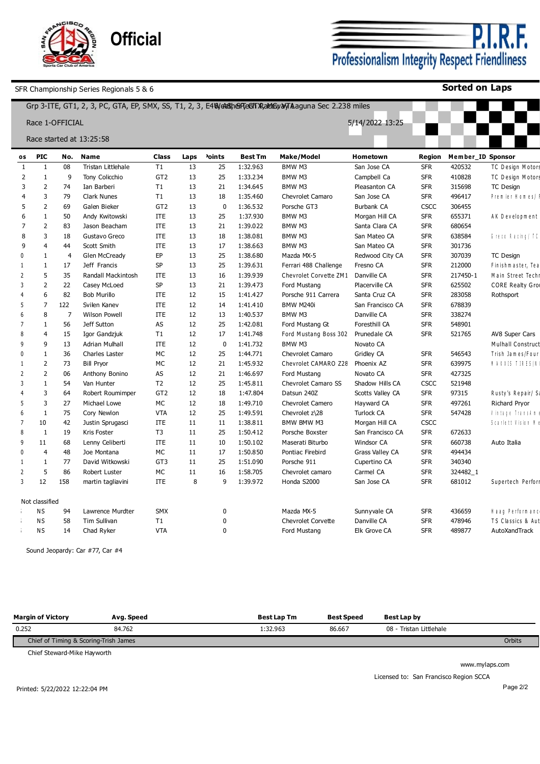| Sports Car Club of An | <b>Official</b> |
|-----------------------|-----------------|
|-----------------------|-----------------|

**P.I.R.F.**<br>Professionalism Integrity Respect Friendliness

**Sorted on Laps**

|                          |                 |                |                          |                 |      |                    |                | Grp 3-ITE, GT1, 2, 3, PC, GTA, EP, SMX, SS, T1, 2, 3, E40/ck 6hefTeGh XakKey byTAaguna Sec 2.238 miles |                        |             |                   |                         |
|--------------------------|-----------------|----------------|--------------------------|-----------------|------|--------------------|----------------|--------------------------------------------------------------------------------------------------------|------------------------|-------------|-------------------|-------------------------|
|                          | Race 1-OFFICIAL |                |                          |                 |      |                    |                |                                                                                                        | 5/14/2022 13:25        |             |                   |                         |
|                          |                 |                | Race started at 13:25:58 |                 |      |                    |                |                                                                                                        |                        |             |                   |                         |
| os                       | <b>PIC</b>      | No.            | <b>Name</b>              | <b>Class</b>    | Laps | <sup>2</sup> oints | <b>Best Tm</b> | <b>Make/Model</b>                                                                                      | Hometown               | Region      | Member_ID Sponsor |                         |
| -1                       | 1               | 08             | Tristan Littlehale       | T1              | 13   | 25                 | 1:32.963       | BMW M3                                                                                                 | San Jose CA            | <b>SFR</b>  | 420532            | TC Design Motors        |
| $\overline{2}$           | $\mathbf{1}$    | 9              | Tony Colicchio           | GT <sub>2</sub> | 13   | 25                 | 1:33.234       | BMW M3                                                                                                 | Campbell Ca            | <b>SFR</b>  | 410828            | TC Design Motors        |
| 3                        | $\overline{2}$  | 74             | Ian Barberi              | T1              | 13   | 21                 | 1:34.645       | BMW M3                                                                                                 | Pleasanton CA          | <b>SFR</b>  | 315698            | <b>TC Design</b>        |
| $\overline{4}$           | $\overline{3}$  | 79             | <b>Clark Nunes</b>       | T1              | 13   | 18                 | 1:35.460       | Chevrolet Camaro                                                                                       | San Jose CA            | <b>SFR</b>  | 496417            | Premier Homes/          |
| 5                        | $\overline{2}$  | 69             | Galen Bieker             | GT <sub>2</sub> | 13   | $\mathbf 0$        | 1:36.532       | Porsche GT3                                                                                            | Burbank CA             | <b>CSCC</b> | 306455            |                         |
| 6                        | $\overline{1}$  | 50             | Andy Kwitowski           | <b>ITE</b>      | 13   | 25                 | 1:37.930       | BMW M3                                                                                                 | Morgan Hill CA         | <b>SFR</b>  | 655371            | AK Development          |
| 7                        | $\overline{2}$  | 83             | Jason Beacham            | ITE             | 13   | 21                 | 1:39.022       | BMW M3                                                                                                 | Santa Clara CA         | <b>SFR</b>  | 680654            |                         |
| 8                        | 3               | 18             | Gustavo Greco            | <b>ITE</b>      | 13   | 18                 | 1:38.081       | BMW M3                                                                                                 | San Mateo CA           | <b>SFR</b>  | 638584            | Greco Racing/TC         |
| 9                        | $\overline{4}$  | 44             | Scott Smith              | <b>ITE</b>      | 13   | 17                 | 1:38.663       | BMW M3                                                                                                 | San Mateo CA           | <b>SFR</b>  | 301736            |                         |
| $\Omega$                 | $\mathbf{1}$    | $\overline{4}$ | Glen McCready            | EP              | 13   | 25                 | 1:38.680       | Mazda MX-5                                                                                             | Redwood City CA        | <b>SFR</b>  | 307039            | <b>TC Design</b>        |
| $\mathbf{1}$             | $\mathbf{1}$    | 17             | Jeff Francis             | SP              | 13   | 25                 | 1:39.631       | Ferrari 488 Challenge                                                                                  | Fresno CA              | <b>SFR</b>  | 212000            | Finishmaster, Tea       |
| $\overline{2}$           | 5               | 35             | Randall Mackintosh       | ITE             | 13   | 16                 | 1:39.939       | Chevrolet Corvette ZM1                                                                                 | Danville CA            | <b>SFR</b>  | 217450-1          | Main Street Techr       |
| 3                        | $\overline{2}$  | 22             | Casey McLoed             | SP              | 13   | 21                 | 1:39.473       | Ford Mustang                                                                                           | Placerville CA         | <b>SFR</b>  | 625502            | <b>CORE Realty Grou</b> |
|                          | 6               | 82             | <b>Bob Murillo</b>       | ITE             | 12   | 15                 | 1:41.427       | Porsche 911 Carrera                                                                                    | Santa Cruz CA          | <b>SFR</b>  | 283058            | Rothsport               |
| 5                        | $\overline{7}$  | 122            | Svilen Kanev             | <b>ITE</b>      | 12   | 14                 | 1:41.410       | BMW M240i                                                                                              | San Francisco CA       | <b>SFR</b>  | 678839            |                         |
| 6                        | 8               | $\overline{7}$ | <b>Wilson Powell</b>     | <b>ITE</b>      | 12   | 13                 | 1:40.537       | BMW M3                                                                                                 | Danville CA            | <b>SFR</b>  | 338274            |                         |
|                          | $\mathbf{1}$    | 56             | Jeff Sutton              | AS              | 12   | 25                 | 1:42.081       | Ford Mustang Gt                                                                                        | Foresthill CA          | <b>SFR</b>  | 548901            |                         |
| 8                        | $\overline{4}$  | 15             | Igor Gandzjuk            | T1              | 12   | 17                 | 1:41.748       | Ford Mustang Boss 302                                                                                  | Prunedale CA           | <b>SFR</b>  | 521765            | AV8 Super Cars          |
| q                        | 9               | 13             | <b>Adrian Mulhall</b>    | <b>ITE</b>      | 12   | $\mathbf 0$        | 1:41.732       | BMW M3                                                                                                 | Novato CA              |             |                   | Mulhall Construct       |
| 0                        | $\mathbf{1}$    | 36             | Charles Laster           | МC              | 12   | 25                 | 1:44.771       | Chevrolet Camaro                                                                                       | Gridley CA             | <b>SFR</b>  | 546543            | Trish James/Four        |
| -1                       | $\overline{2}$  | 73             | <b>Bill Pryor</b>        | МC              | 12   | 21                 | 1:45.932       | Chevrolet CAMARO Z28                                                                                   | Phoenix AZ             | <b>SFR</b>  | 639975            | N A X X IS T IR E S / N |
| $\overline{\phantom{0}}$ | $\overline{2}$  | 06             | Anthony Bonino           | AS              | 12   | 21                 | 1:46.697       | Ford Mustang                                                                                           | Novato CA              | <b>SFR</b>  | 427325            |                         |
| 3                        | $\mathbf{1}$    | 54             | Van Hunter               | T <sub>2</sub>  | 12   | 25                 | 1:45.811       | Chevrolet Camaro SS                                                                                    | Shadow Hills CA        | <b>CSCC</b> | 521948            |                         |
| $\overline{4}$           | 3               | 64             | Robert Roumimper         | GT <sub>2</sub> | 12   | 18                 | 1:47.804       | Datsun 240Z                                                                                            | Scotts Valley CA       | <b>SFR</b>  | 97315             | Rusty's Repair/Sa       |
| -5                       | 3               | 27             | Michael Lowe             | МC              | 12   | 18                 | 1:49.710       | <b>Chevrolet Camero</b>                                                                                | Hayward CA             | <b>SFR</b>  | 497261            | Richard Pryor           |
| $6\overline{6}$          | $\mathbf{1}$    | 75             | Cory Newlon              | <b>VTA</b>      | 12   | 25                 | 1:49.591       | Chevrolet z\28                                                                                         | <b>Turlock CA</b>      | <b>SFR</b>  | 547428            | l'intere Trenskin.      |
| 7                        | 10              | 42             | Justin Sprugasci         | <b>ITE</b>      | 11   | 11                 | 1:38.811       | BMW BMW M3                                                                                             | Morgan Hill CA         | <b>CSCC</b> |                   | Scarlett Vision Na      |
| 8                        | $\mathbf{1}$    | 19             | Kris Foster              | T <sub>3</sub>  | 11   | 25                 | 1:50.412       | Porsche Boxster                                                                                        | San Francisco CA       | <b>SFR</b>  | 672633            |                         |
| 9                        | 11              | 68             | Lenny Celiberti          | <b>ITE</b>      | 11   | 10                 | 1:50.102       | Maserati Biturbo                                                                                       | Windsor CA             | <b>SFR</b>  | 660738            | Auto Italia             |
| <sup>0</sup>             | $\overline{4}$  | 48             | Joe Montana              | МC              | 11   | 17                 | 1:50.850       | Pontiac Firebird                                                                                       | <b>Grass Valley CA</b> | <b>SFR</b>  | 494434            |                         |
| $\mathbf{1}$             | $\mathbf{1}$    | 77             | David Witkowski          | GT3             | 11   | 25                 | 1:51.090       | Porsche 911                                                                                            | Cupertino CA           | <b>SFR</b>  | 340340            |                         |
| 2                        | 5               | 86             | Robert Luster            | МC              | 11   | 16                 | 1:58.705       | Chevrolet camaro                                                                                       | Carmel CA              | <b>SFR</b>  | 324482_1          |                         |
| $\overline{3}$           | 12              | 158            | martin tagliavini        | <b>ITE</b>      | 8    | 9                  | 1:39.972       | Honda S2000                                                                                            | San Jose CA            | <b>SFR</b>  | 681012            | Supertech Perform       |
|                          |                 |                |                          |                 |      |                    |                |                                                                                                        |                        |             |                   |                         |
|                          | Not classified  |                |                          |                 |      |                    |                |                                                                                                        |                        |             |                   |                         |
|                          | ΝS              | 94             | Lawrence Murdter         | <b>SMX</b>      |      | $\mathbf{0}$       |                | Mazda MX-5                                                                                             | Sunnyvale CA           | <b>SFR</b>  | 436659            | Haag Performanc         |
|                          | <b>NS</b>       | 58             | <b>Tim Sullivan</b>      | T1              |      | $\mathbf{0}$       |                | <b>Chevrolet Corvette</b>                                                                              | Danville CA            | <b>SFR</b>  | 478946            | TS Classics & Aut       |
|                          | <b>NS</b>       | 14             | Chad Ryker               | <b>VTA</b>      |      | $\mathbf{0}$       |                | Ford Mustang                                                                                           | Elk Grove CA           | <b>SFR</b>  | 489877            | AutoXandTrack           |
|                          |                 |                |                          |                 |      |                    |                |                                                                                                        |                        |             |                   |                         |

Sound Jeopardy: Car #77, Car #4

| <b>Margin of Victory</b>              | Avg. Speed | <b>Best Lap Tm</b> | <b>Best Speed</b> | Best Lap by             |        |
|---------------------------------------|------------|--------------------|-------------------|-------------------------|--------|
| 0.252                                 | 84.762     | 1:32.963           | 86.667            | 08 - Tristan Littlehale |        |
| Chief of Timing & Scoring-Trish James |            |                    |                   |                         | Orbits |

Chief Steward-Mike Hayworth

www.mylaps.com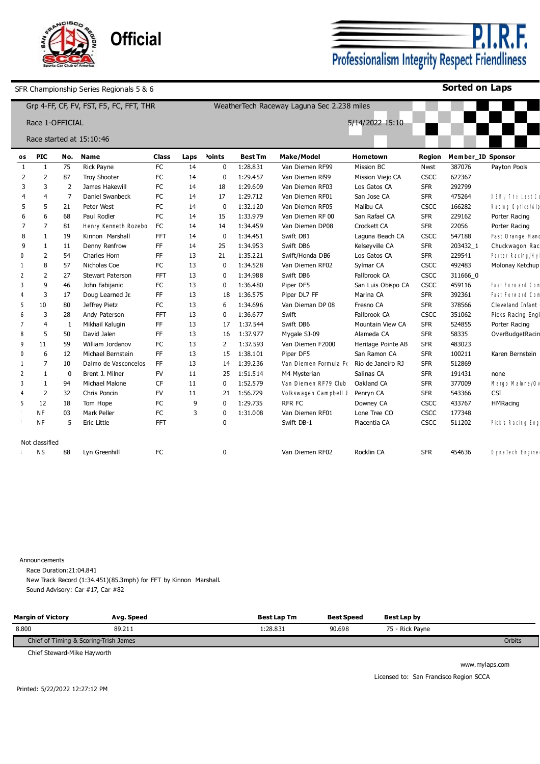

<u>P.I.R.F.</u> Professionalism Integrity Respect Friendliness

**Sorted on Laps**

|                          |                 |                | Grp 4-FF, CF, FV, FST, F5, FC, FFT, THR |            |      | WeatherTech Raceway Laguna Sec 2.238 miles |                |                       |                    |             |                   |                    |  |
|--------------------------|-----------------|----------------|-----------------------------------------|------------|------|--------------------------------------------|----------------|-----------------------|--------------------|-------------|-------------------|--------------------|--|
|                          | Race 1-OFFICIAL |                |                                         |            |      |                                            |                |                       | 5/14/2022 15:10    |             |                   |                    |  |
|                          |                 |                | Race started at 15:10:46                |            |      |                                            |                |                       |                    |             |                   |                    |  |
| os                       | <b>PIC</b>      | No.            | <b>Name</b>                             | Class      | Laps | <sup>2</sup> oints                         | <b>Best Tm</b> | <b>Make/Model</b>     | Hometown           | Region      | Member_ID Sponsor |                    |  |
| -1                       | -1              | 75             | Rick Payne                              | FC         | 14   | 0                                          | 1:28.831       | Van Diemen RF99       | Mission BC         | Nwst        | 387076            | Payton Pools       |  |
| $\mathcal{P}$            | $\overline{2}$  | 87             | <b>Troy Shooter</b>                     | FC         | 14   | 0                                          | 1:29.457       | Van Diemen Rf99       | Mission Viejo CA   | <b>CSCC</b> | 622367            |                    |  |
| 3                        | 3               | $\overline{2}$ | James Hakewill                          | <b>FC</b>  | 14   | 18                                         | 1:29.609       | Van Diemen RF03       | Los Gatos CA       | <b>SFR</b>  | 292799            |                    |  |
|                          | 4               | 7              | Daniel Swanbeck                         | FC         | 14   | 17                                         | 1:29.712       | Van Diemen RF01       | San Jose CA        | <b>SFR</b>  | 475264            | DSN / The Last Cd  |  |
| 5                        | 5               | 21             | Peter West                              | FC         | 14   | 0                                          | 1:32.120       | Van Diemen RF05       | Malibu CA          | <b>CSCC</b> | 166282            | Racing Optics/Alp  |  |
| 6                        | 6               | 68             | Paul Rodler                             | FC         | 14   | 15                                         | 1:33.979       | Van Diemen RF 00      | San Rafael CA      | <b>SFR</b>  | 229162            | Porter Racing      |  |
| 7                        | 7               | 81             | Henry Kenneth Rozebor                   | <b>FC</b>  | 14   | 14                                         | 1:34.459       | Van Diemen DP08       | Crockett CA        | <b>SFR</b>  | 22056             | Porter Racing      |  |
| 8                        | -1              | 19             | Kinnon Marshall                         | <b>FFT</b> | 14   | $\mathbf 0$                                | 1:34.451       | Swift DB1             | Laguna Beach CA    | CSCC        | 547188            | Fast Orange Hand   |  |
| 9                        | -1              | 11             | Denny Renfrow                           | FF.        | 14   | 25                                         | 1:34.953       | Swift DB6             | Kelseyville CA     | <b>SFR</b>  | 203432_1          | Chuckwagon Rac     |  |
| 0                        | $\overline{2}$  | 54             | Charles Horn                            | FF.        | 13   | 21                                         | 1:35.221       | Swift/Honda DB6       | Los Gatos CA       | <b>SFR</b>  | 229541            | Porter Racing/Hy   |  |
|                          | 8               | 57             | Nicholas Coe                            | FC         | 13   | 0                                          | 1:34.528       | Van Diemen RF02       | Sylmar CA          | CSCC        | 492483            | Molonay Ketchup    |  |
| $\mathcal{L}$            | $\overline{2}$  | 27             | <b>Stewart Paterson</b>                 | <b>FFT</b> | 13   | 0                                          | 1:34.988       | Swift DB6             | Fallbrook CA       | <b>CSCC</b> | 311666 0          |                    |  |
| 3                        | 9               | 46             | John Fabijanic                          | FC         | 13   | 0                                          | 1:36.480       | Piper DF5             | San Luis Obispo CA | CSCC        | 459116            | Fast Forward Com   |  |
|                          | 3               | 17             | Doug Learned Jr.                        | FF         | 13   | 18                                         | 1:36.575       | Piper DL7 FF          | Marina CA          | <b>SFR</b>  | 392361            | Fast Forward Com   |  |
| -5                       | 10              | 80             | Jeffrey Pietz                           | FC         | 13   | 6                                          | 1:34.696       | Van Dieman DP 08      | Fresno CA          | <b>SFR</b>  | 378566            | Cleveland Infant   |  |
|                          | 3               | 28             | Andy Paterson                           | <b>FFT</b> | 13   | $\mathbf{0}$                               | 1:36.677       | Swift                 | Fallbrook CA       | <b>CSCC</b> | 351062            | Picks Racing Engi  |  |
|                          | $\overline{4}$  | -1             | Mikhail Kaluqin                         | FF         | 13   | 17                                         | 1:37.544       | Swift DB6             | Mountain View CA   | <b>SFR</b>  | 524855            | Porter Racing      |  |
|                          | 5               | 50             | David Jalen                             | <b>FF</b>  | 13   | 16                                         | 1:37.977       | Mygale SJ-09          | Alameda CA         | <b>SFR</b>  | 58335             | OverBudgetRacin    |  |
| q                        | 11              | 59             | William Jordanov                        | FC         | 13   | 2                                          | 1:37.593       | Van Diemen F2000      | Heritage Pointe AB | <b>SFR</b>  | 483023            |                    |  |
| $\Omega$                 | 6               | 12             | Michael Bernstein                       | <b>FF</b>  | 13   | 15                                         | 1:38.101       | Piper DF5             | San Ramon CA       | <b>SFR</b>  | 100211            | Karen Bernstein    |  |
|                          | 7               | 10             | Dalmo de Vasconcelos                    | <b>FF</b>  | 13   | 14                                         | 1:39.236       | Van Diemen Formula Fo | Rio de Janeiro RJ  | <b>SFR</b>  | 512869            |                    |  |
| $\overline{\phantom{0}}$ | -1              | $\mathbf 0$    | Brent J. Milner                         | <b>FV</b>  | 11   | 25                                         | 1:51.514       | M4 Mysterian          | Salinas CA         | <b>SFR</b>  | 191431            | none               |  |
| $\overline{3}$           | $\mathbf{1}$    | 94             | Michael Malone                          | <b>CF</b>  | 11   | 0                                          | 1:52.579       | Van Diemen RF79 Club  | Oakland CA         | <b>SFR</b>  | 377009            | Margo Malone/Ov    |  |
|                          | $\overline{2}$  | 32             | Chris Poncin                            | <b>FV</b>  | 11   | 21                                         | 1:56.729       | Volkswagen Campbell J | Penryn CA          | <b>SFR</b>  | 543366            | <b>CSI</b>         |  |
| 5                        | 12              | 18             | Tom Hope                                | FC         | 9    | 0                                          | 1:29.735       | <b>RFR FC</b>         | Downey CA          | CSCC        | 433767            | <b>HMRacing</b>    |  |
|                          | <b>NF</b>       | 03             | Mark Peller                             | FC         | 3    | $\mathbf{0}$                               | 1:31.008       | Van Diemen RF01       | Lone Tree CO       | CSCC        | 177348            |                    |  |
|                          | <b>NF</b>       | 5              | Eric Little                             | <b>FFT</b> |      | $\mathbf{0}$                               |                | Swift DB-1            | Placentia CA       | CSCC        | 511202            | Pick's Racing Engl |  |
|                          | Not classified  |                |                                         |            |      |                                            |                |                       |                    |             |                   |                    |  |
|                          | ΝS              | 88             | Lyn Greenhill                           | FC         |      | 0                                          |                | Van Diemen RF02       | Rocklin CA         | <b>SFR</b>  | 454636            | DynaTech Engine    |  |

Announcements

Race Duration:21:04.841

New Track Record (1:34.451)(85.3mph) for FFT by Kinnon Marshall. Sound Advisory: Car #17, Car #82

| <b>Margin of Victory</b>              | Ava. Speed | <b>Best Lap Tm</b> | <b>Best Speed</b> | Best Lap by     |        |
|---------------------------------------|------------|--------------------|-------------------|-----------------|--------|
| 8.800                                 | 89.211     | :28.831            | 90.698            | 75 - Rick Payne |        |
| Chief of Timing & Scoring-Trish James |            |                    |                   |                 | Orbits |

Chief Steward-Mike Hayworth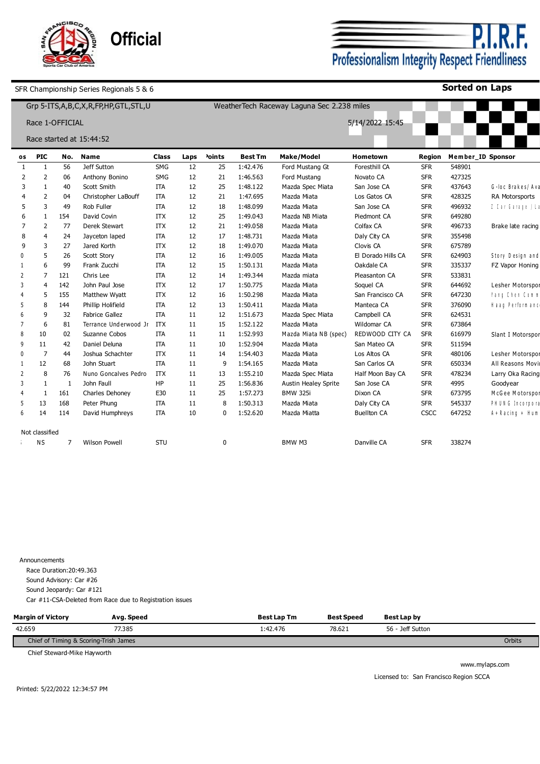

P.I. F. Professionalism Integrity Respect Friendliness

**Sorted on Laps**

|                          |                 |     | Grp 5-ITS, A, B, C, X, R, FP, HP, GTL, STL, U |              |      | WeatherTech Raceway Laguna Sec 2.238 miles |                |                             |                    |               |        |                       |  |  |
|--------------------------|-----------------|-----|-----------------------------------------------|--------------|------|--------------------------------------------|----------------|-----------------------------|--------------------|---------------|--------|-----------------------|--|--|
|                          | Race 1-OFFICIAL |     |                                               |              |      |                                            |                |                             | 5/14/2022 15:45    |               |        |                       |  |  |
|                          |                 |     | Race started at 15:44:52                      |              |      |                                            |                |                             |                    |               |        |                       |  |  |
| os                       | <b>PIC</b>      | No. | <b>Name</b>                                   | <b>Class</b> | Laps | <sup>2</sup> oints                         | <b>Best Tm</b> | <b>Make/Model</b>           | Hometown           | <b>Region</b> |        | Member_ID Sponsor     |  |  |
| $\mathbf{1}$             | -1              | 56  | Jeff Sutton                                   | <b>SMG</b>   | 12   | 25                                         | 1:42.476       | Ford Mustang Gt             | Foresthill CA      | <b>SFR</b>    | 548901 |                       |  |  |
| 2                        | $\overline{2}$  | 06  | Anthony Bonino                                | <b>SMG</b>   | 12   | 21                                         | 1:46.563       | Ford Mustang                | Novato CA          | <b>SFR</b>    | 427325 |                       |  |  |
| 3                        | 1               | 40  | Scott Smith                                   | ITA          | 12   | 25                                         | 1:48.122       | Mazda Spec Miata            | San Jose CA        | <b>SFR</b>    | 437643 | G-loc Brakes/Ava      |  |  |
|                          | $\overline{2}$  | 04  | Christopher LaBouff                           | <b>ITA</b>   | 12   | 21                                         | 1:47.695       | Mazda Miata                 | Los Gatos CA       | <b>SFR</b>    | 428325 | RA Motorsports        |  |  |
|                          | 3               | 49  | Rob Fuller                                    | <b>ITA</b>   | 12   | 18                                         | 1:48.099       | Mazda Miata                 | San Jose CA        | <b>SFR</b>    | 496932 | $1$ Car Garage   La   |  |  |
| 6                        | -1              | 154 | David Covin                                   | <b>ITX</b>   | 12   | 25                                         | 1:49.043       | Mazda NB Miata              | Piedmont CA        | <b>SFR</b>    | 649280 |                       |  |  |
|                          | $\overline{2}$  | 77  | Derek Stewart                                 | <b>ITX</b>   | 12   | 21                                         | 1:49.058       | Mazda Miata                 | Colfax CA          | <b>SFR</b>    | 496733 | Brake late racing     |  |  |
| 8                        | 4               | 24  | Jayceton laped                                | ITA          | 12   | 17                                         | 1:48.731       | Mazda Miata                 | Daly City CA       | <b>SFR</b>    | 355498 |                       |  |  |
| 9                        | 3               | 27  | Jared Korth                                   | <b>ITX</b>   | 12   | 18                                         | 1:49.070       | Mazda Miata                 | Clovis CA          | <b>SFR</b>    | 675789 |                       |  |  |
| n                        | 5               | 26  | Scott Story                                   | <b>ITA</b>   | 12   | 16                                         | 1:49.005       | Mazda Miata                 | El Dorado Hills CA | <b>SFR</b>    | 624903 | Story Design and      |  |  |
|                          | 6               | 99  | Frank Zucchi                                  | <b>ITA</b>   | 12   | 15                                         | 1:50.131       | Mazda Miata                 | Oakdale CA         | <b>SFR</b>    | 335337 | FZ Vapor Honing       |  |  |
| $\overline{2}$           | 7               | 121 | Chris Lee                                     | <b>ITA</b>   | 12   | 14                                         | 1:49.344       | Mazda miata                 | Pleasanton CA      | <b>SFR</b>    | 533831 |                       |  |  |
| 3                        | 4               | 142 | John Paul Jose                                | <b>ITX</b>   | 12   | 17                                         | 1:50.775       | Mazda Miata                 | Soquel CA          | <b>SFR</b>    | 644692 | Lesher Motorspor      |  |  |
|                          | 5               | 155 | Matthew Wyatt                                 | <b>ITX</b>   | 12   | 16                                         | 1:50.298       | Mazda Miata                 | San Francisco CA   | <b>SFR</b>    | 647230 | Yang Chen Comm        |  |  |
| 5                        | 8               | 144 | Phillip Holifield                             | <b>ITA</b>   | 12   | 13                                         | 1:50.411       | Mazda Miata                 | Manteca CA         | <b>SFR</b>    | 376090 | Haaq Performanci      |  |  |
| 6                        | 9               | 32  | <b>Fabrice Gallez</b>                         | <b>ITA</b>   | 11   | 12                                         | 1:51.673       | Mazda Spec Miata            | Campbell CA        | <b>SFR</b>    | 624531 |                       |  |  |
|                          | 6               | 81  | Terrance Underwood Jr                         | ITX          | 11   | 15                                         | 1:52.122       | Mazda Miata                 | Wildomar CA        | <b>SFR</b>    | 673864 |                       |  |  |
| 8                        | 10              | 02  | Suzanne Cobos                                 | <b>ITA</b>   | 11   | 11                                         | 1:52.993       | Mazda Miata NB (spec)       | REDWOOD CITY CA    | <b>SFR</b>    | 616979 | Slant I Motorspor     |  |  |
| 9                        | 11              | 42  | Daniel Deluna                                 | <b>ITA</b>   | 11   | 10                                         | 1:52.904       | Mazda Miata                 | San Mateo CA       | <b>SFR</b>    | 511594 |                       |  |  |
| $\Omega$                 | 7               | 44  | Joshua Schachter                              | <b>ITX</b>   | 11   | 14                                         | 1:54.403       | Mazda Miata                 | Los Altos CA       | <b>SFR</b>    | 480106 | Lesher Motorspor      |  |  |
|                          | 12              | 68  | John Stuart                                   | <b>ITA</b>   | 11   | 9                                          | 1:54.165       | Mazda Miata                 | San Carlos CA      | <b>SFR</b>    | 650334 | All Reasons Movi      |  |  |
| $\overline{\phantom{0}}$ | 8               | 76  | Nuno Goncalves Pedro                          | <b>ITX</b>   | 11   | 13                                         | 1:55.210       | Mazda Spec Miata            | Half Moon Bay CA   | <b>SFR</b>    | 478234 | Larry Oka Racing      |  |  |
| 3                        |                 | -1  | John Faull                                    | <b>HP</b>    | 11   | 25                                         | 1:56.836       | <b>Austin Healey Sprite</b> | San Jose CA        | <b>SFR</b>    | 4995   | Goodyear              |  |  |
|                          | -1              | 161 | Charles Dehoney                               | E30          | 11   | 25                                         | 1:57.273       | <b>BMW 325i</b>             | Dixon CA           | <b>SFR</b>    | 673795 | McGee Motorspor       |  |  |
| 5                        | 13              | 168 | Peter Phung                                   | <b>ITA</b>   | 11   | 8                                          | 1:50.313       | Mazda Miata                 | Daly City CA       | <b>SFR</b>    | 545337 | PHUNG Incorpora       |  |  |
| 6                        | 14              | 114 | David Humphreys                               | <b>ITA</b>   | 10   | $\mathbf{0}$                               | 1:52.620       | Mazda Miatta                | <b>Buellton CA</b> | CSCC          | 647252 | A + R a cin g + H u m |  |  |
|                          |                 |     |                                               |              |      |                                            |                |                             |                    |               |        |                       |  |  |
|                          | Not classified  |     |                                               |              |      |                                            |                |                             |                    |               |        |                       |  |  |
|                          | ΝS              | 7   | <b>Wilson Powell</b>                          | STU          |      | $\Omega$                                   |                | BMW M3                      | Danville CA        | <b>SFR</b>    | 338274 |                       |  |  |

Announcements Race Duration:20:49.363 Sound Advisory: Car #26 Sound Jeopardy: Car #121 Car #11-CSA-Deleted from Race due to Registration issues

| <b>Margin of Victory</b>              | Avg. Speed | Best Lap Tm | <b>Best Speed</b> | Best Lap by      |  |  |  |  |
|---------------------------------------|------------|-------------|-------------------|------------------|--|--|--|--|
| 42.659                                | 77.385     | 1:42.476    | 78.621            | 56 - Jeff Sutton |  |  |  |  |
| Chief of Timing & Scoring-Trish James |            |             |                   |                  |  |  |  |  |

Chief Steward-Mike Hayworth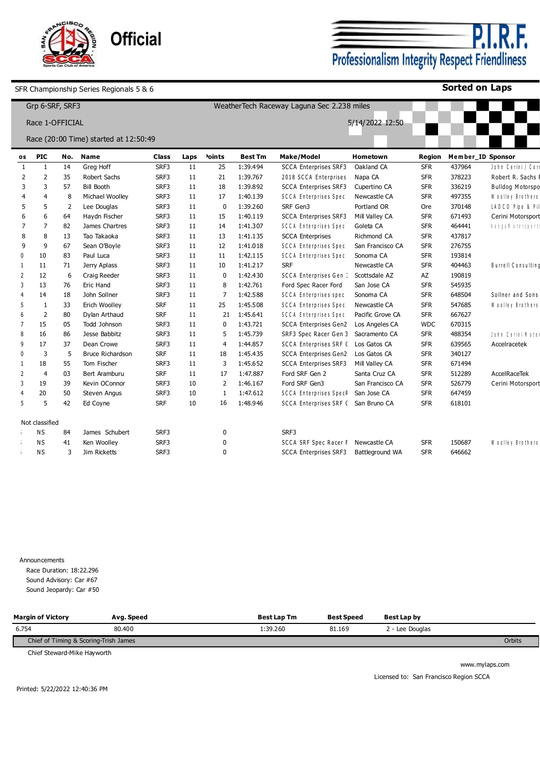

**P.I.R.F.**<br>Professionalism Integrity Respect Friendliness

**Sorted on Laps**

|              | Grp 6-SRF, SRF3 |                |                                       |              | WeatherTech Raceway Laguna Sec 2.238 miles |                    |                |                                      |                  |            |        |                          |
|--------------|-----------------|----------------|---------------------------------------|--------------|--------------------------------------------|--------------------|----------------|--------------------------------------|------------------|------------|--------|--------------------------|
|              | Race 1-OFFICIAL |                |                                       |              |                                            | 5/14/2022 12:50    |                |                                      |                  |            |        |                          |
|              |                 |                | Race (20:00 Time) started at 12:50:49 |              |                                            |                    |                |                                      |                  |            |        |                          |
| os           | <b>PIC</b>      | No.            | <b>Name</b>                           | <b>Class</b> | Laps                                       | <sup>2</sup> oints | <b>Best Tm</b> | Make/Model                           | <b>Hometown</b>  | Region     |        | Member_ID Sponsor        |
| -1           | -1              | 14             | Greg Hoff                             | SRF3         | 11                                         | 25                 | 1:39.494       | <b>SCCA Enterprises SRF3</b>         | Oakland CA       | <b>SFR</b> | 437964 | John Cerini / Corr       |
| 2            | $\overline{2}$  | 35             | Robert Sachs                          | SRF3         | 11                                         | 21                 | 1:39.767       | 2018 SCCA Enterprises                | Napa CA          | <b>SFR</b> | 378223 | Robert R. Sachs F        |
| 3            | 3               | 57             | <b>Bill Booth</b>                     | SRF3         | 11                                         | 18                 | 1:39.892       | <b>SCCA Enterprises SRF3</b>         | Cupertino CA     | <b>SFR</b> | 336219 | Bulldog Motorspo         |
|              | 4               | 8              | Michael Woolley                       | SRF3         | 11                                         | 17                 | 1:40.139       | SCCA Enterprises Spec                | Newcastle CA     | <b>SFR</b> | 497355 | Woolley Brothers         |
| 5            | 5               | $\overline{2}$ | Lee Douglas                           | SRF3         | 11                                         | $\Omega$           | 1:39.260       | SRF Gen3                             | Portland OR      | Ore        | 370148 | LADCO Pipe & Pil         |
| 6            | 6               | 64             | Haydn Fischer                         | SRF3         | 11                                         | 15                 | 1:40.119       | <b>SCCA Enterprises SRF3</b>         | Mill Valley CA   | <b>SFR</b> | 671493 | Cerini Motorsport        |
| 7            | $\overline{7}$  | 82             | James Chartres                        | SRF3         | 11                                         | 14                 | 1:41.307       | SCCA Enterprises Spec                | Goleta CA        | <b>SFR</b> | 464441 | <b>Tarral iting inte</b> |
| 8            | 8               | 13             | Tao Takaoka                           | SRF3         | 11                                         | 13                 | 1:41.135       | <b>SCCA Enterprises</b>              | Richmond CA      | <b>SFR</b> | 437817 |                          |
| q            | 9               | 67             | Sean O'Boyle                          | SRF3         | 11                                         | 12                 | 1:41.018       | SCCA Enterprises Spec                | San Francisco CA | <b>SFR</b> | 276755 |                          |
| $\mathbf{0}$ | 10              | 83             | Paul Luca                             | SRF3         | 11                                         | 11                 | 1:42.115       | <b>SCCA Enterprises Spec</b>         | Sonoma CA        | <b>SFR</b> | 193814 |                          |
|              | 11              | 71             | Jerry Aplass                          | SRF3         | 11                                         | 10                 | 1:41.217       | <b>SRF</b>                           | Newcastle CA     | <b>SFR</b> | 404463 | Burrell Consulting       |
|              | 12              | 6              | Craig Reeder                          | SRF3         | 11                                         | $\mathbf{0}$       | 1:42.430       | <b>SCCA Enterprises Gen:</b>         | Scottsdale AZ    | AZ         | 190819 |                          |
| 3            | 13              | 76             | Eric Hand                             | SRF3         | 11                                         | 8                  | 1:42.761       | Ford Spec Racer Ford                 | San Jose CA      | <b>SFR</b> | 545935 |                          |
|              | 14              | 18             | John Sollner                          | SRF3         | 11                                         | $\overline{7}$     | 1:42.588       | SCCA Enterprises spec                | Sonoma CA        | <b>SFR</b> | 648504 | Sollner and Sons         |
| 5            | $\mathbf{1}$    | 33             | Erich Woolley                         | <b>SRF</b>   | 11                                         | 25                 | 1:45.508       | SCCA Enterprises Spec                | Newcastle CA     | <b>SFR</b> | 547685 | Woolley Brothers         |
|              | $\overline{2}$  | 80             | Dylan Arthaud                         | <b>SRF</b>   | 11                                         | 21                 | 1:45.641       | SCCA Enterprises Spec                | Pacific Grove CA | <b>SFR</b> | 667627 |                          |
| 7            | 15              | 05             | <b>Todd Johnson</b>                   | SRF3         | 11                                         | 0                  | 1:43.721       | <b>SCCA Enterprises Gen2</b>         | Los Angeles CA   | <b>WDC</b> | 670315 |                          |
| 8            | 16              | 86             | Jesse Babbitz                         | SRF3         | 11                                         | 5                  | 1:45.739       | SRF3 Spec Racer Gen 3 Sacramento CA  |                  | <b>SFR</b> | 488354 | John Cerini Motor        |
| 9            | 17              | 37             | Dean Crowe                            | SRF3         | 11                                         | 4                  | 1:44.857       | SCCA Enterprises SRF ( Los Gatos CA  |                  | <b>SFR</b> | 639565 | Accelracetek             |
| $\mathsf{D}$ | 3               | 5              | <b>Bruce Richardson</b>               | <b>SRF</b>   | 11                                         | 18                 | 1:45.435       | <b>SCCA Enterprises Gen2</b>         | Los Gatos CA     | <b>SFR</b> | 340127 |                          |
|              | 18              | 55             | Tom Fischer                           | SRF3         | 11                                         | 3                  | 1:45.652       | SCCA Enterprises SRF3 Mill Valley CA |                  | <b>SFR</b> | 671494 |                          |
| 2            | $\overline{4}$  | 03             | Bert Aramburu                         | <b>SRF</b>   | 11                                         | 17                 | 1:47.887       | Ford SRF Gen 2                       | Santa Cruz CA    | <b>SFR</b> | 512289 | AccelRaceTek             |
| 3            | 19              | 39             | Kevin OConnor                         | SRF3         | 10                                         | $\overline{2}$     | 1:46.167       | Ford SRF Gen3                        | San Francisco CA | <b>SFR</b> | 526779 | Cerini Motorsport        |
|              | 20              | 50             | Steven Angus                          | SRF3         | 10                                         | $\mathbf{1}$       | 1:47.612       | SCCA Enterprises SpecR San Jose CA   |                  | <b>SFR</b> | 647459 |                          |
| 5            | 5               | 42             | Ed Coyne                              | <b>SRF</b>   | 10                                         | 16                 | 1:48.946       | SCCA Enterprises SRF (San Bruno CA   |                  | <b>SFR</b> | 618101 |                          |
|              |                 |                |                                       |              |                                            |                    |                |                                      |                  |            |        |                          |
|              | Not classified  |                |                                       |              |                                            |                    |                |                                      |                  |            |        |                          |
|              | ΝS              | 84             | James Schubert                        | SRF3         |                                            | 0                  |                | SRF3                                 |                  |            |        |                          |
|              | <b>NS</b>       | 41             | Ken Woolley                           | SRF3         |                                            |                    |                | SCCA SRF Spec Racer F Newcastle CA   |                  | <b>SFR</b> | 150687 | Woolley Brothers         |
|              | ΝS              | 3              | Jim Ricketts                          | SRF3         |                                            | U                  |                | <b>SCCA Enterprises SRF3</b>         | Battleground WA  | <b>SFR</b> | 646662 |                          |

Announcements Race Duration: 18:22.296

Sound Advisory: Car #67 Sound Jeopardy: Car #50

| <b>Margin of Victory</b>              | Avg. Speed | <b>Best Lap Tm</b> | <b>Best Speed</b> | Best Lap by     |  |  |  |  |
|---------------------------------------|------------|--------------------|-------------------|-----------------|--|--|--|--|
| 6.754                                 | 80,400     | :39.260            | 81.169            | 2 - Lee Doualas |  |  |  |  |
| Chief of Timing & Scoring-Trish James |            |                    |                   |                 |  |  |  |  |

Chief Steward-Mike Hayworth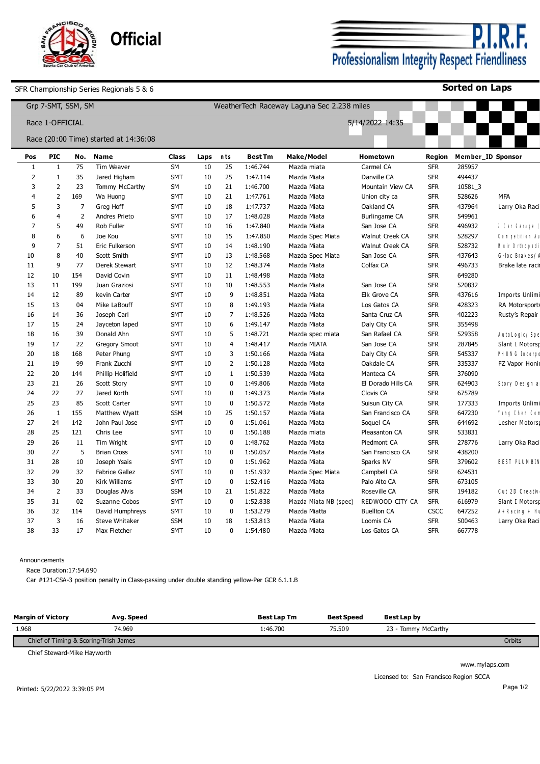

<u>P.I.R.F.</u> Professionalism Integrity Respect Friendliness

**Sorted on Laps**

|                |                 | Grp 7-SMT, SSM, SM |                                       |            |      |                |                | WeatherTech Raceway Laguna Sec 2.238 miles |                    |            |                   |                       |
|----------------|-----------------|--------------------|---------------------------------------|------------|------|----------------|----------------|--------------------------------------------|--------------------|------------|-------------------|-----------------------|
|                | Race 1-OFFICIAL |                    |                                       |            |      |                |                |                                            | 5/14/2022 14:35    |            |                   |                       |
|                |                 |                    | Race (20:00 Time) started at 14:36:08 |            |      |                |                |                                            |                    |            |                   |                       |
| Pos            | <b>PIC</b>      | No.                | Name                                  | Class      | Laps | nts            | <b>Best Tm</b> | Make/Model                                 | Hometown           | Region     | Member_ID Sponsor |                       |
| 1              | 1               | 75                 | Tim Weaver                            | <b>SM</b>  | 10   | 25             | 1:46.744       | Mazda miata                                | Carmel CA          | <b>SFR</b> | 285957            |                       |
| $\overline{2}$ | 1               | 35                 | Jared Higham                          | <b>SMT</b> | 10   | 25             | 1:47.114       | Mazda Miata                                | Danville CA        | <b>SFR</b> | 494437            |                       |
| 3              | $\overline{2}$  | 23                 | Tommy McCarthy                        | SM         | 10   | 21             | 1:46.700       | Mazda Miata                                | Mountain View CA   | <b>SFR</b> | 10581_3           |                       |
| $\overline{4}$ | 2               | 169                | Wa Huong                              | <b>SMT</b> | 10   | 21             | 1:47.761       | Mazda Miata                                | Union city ca      | <b>SFR</b> | 528626            | <b>MFA</b>            |
| 5              | $\overline{3}$  | 7                  | Greg Hoff                             | <b>SMT</b> | 10   | 18             | 1:47.737       | Mazda Miata                                | Oakland CA         | <b>SFR</b> | 437964            | Larry Oka Raci        |
| 6              | $\overline{4}$  | 2                  | Andres Prieto                         | <b>SMT</b> | 10   | 17             | 1:48.028       | Mazda Miata                                | Burlingame CA      | <b>SFR</b> | 549961            |                       |
| 7              | 5               | 49                 | Rob Fuller                            | <b>SMT</b> | 10   | 16             | 1:47.840       | Mazda Miata                                | San Jose CA        | <b>SFR</b> | 496932            | $1$ Car Garage        |
| 8              | 6               | 6                  | Joe Kou                               | <b>SMT</b> | 10   | 15             | 1:47.850       | Mazda Spec Miata                           | Walnut Creek CA    | <b>SFR</b> | 528297            | Competition Au        |
| 9              | $\overline{7}$  | 51                 | Eric Fulkerson                        | <b>SMT</b> | 10   | 14             | 1:48.190       | Mazda Miata                                | Walnut Creek CA    | <b>SFR</b> | 528732            | Muir Orthoped         |
| 10             | 8               | 40                 | Scott Smith                           | <b>SMT</b> | 10   | 13             | 1:48.568       | Mazda Spec Miata                           | San Jose CA        | <b>SFR</b> | 437643            | G-loc Brakes/         |
| 11             | 9               | 77                 | Derek Stewart                         | <b>SMT</b> | 10   | 12             | 1:48.374       | Mazda Miata                                | Colfax CA          | <b>SFR</b> | 496733            | Brake late racin      |
| 12             | 10              | 154                | David Covin                           | <b>SMT</b> | 10   | 11             | 1:48.498       | Mazda Miata                                |                    | <b>SFR</b> | 649280            |                       |
| 13             | 11              | 199                | Juan Graziosi                         | <b>SMT</b> | 10   | 10             | 1:48.553       | Mazda Miata                                | San Jose CA        | <b>SFR</b> | 520832            |                       |
| 14             | 12              | 89                 | kevin Carter                          | <b>SMT</b> | 10   | 9              | 1:48.851       | Mazda Miata                                | Elk Grove CA       | <b>SFR</b> | 437616            | Imports Unlimi        |
| 15             | 13              | 04                 | Mike LaBouff                          | SMT        | 10   | 8              | 1:49.193       | Mazda Miata                                | Los Gatos CA       | <b>SFR</b> | 428323            | RA Motorsports        |
| 16             | 14              | 36                 | Joseph Carl                           | <b>SMT</b> | 10   | 7              | 1:48.526       | Mazda Miata                                | Santa Cruz CA      | <b>SFR</b> | 402223            | Rusty's Repair        |
| 17             | 15              | 24                 | Jayceton laped                        | <b>SMT</b> | 10   | 6              | 1:49.147       | Mazda Miata                                | Daly City CA       | <b>SFR</b> | 355498            |                       |
| 18             | 16              | 39                 | Donald Ahn                            | SMT        | 10   | 5              | 1:48.721       | Mazda spec miata                           | San Rafael CA      | <b>SFR</b> | 529358            | AutoLogic/Spe         |
| 19             | 17              | 22                 | <b>Gregory Smoot</b>                  | <b>SMT</b> | 10   | $\overline{4}$ | 1:48.417       | Mazda MIATA                                | San Jose CA        | <b>SFR</b> | 287845            | Slant I Motorsp       |
| 20             | 18              | 168                | Peter Phung                           | <b>SMT</b> | 10   | $\overline{3}$ | 1:50.166       | Mazda Miata                                | Daly City CA       | <b>SFR</b> | 545337            | PHUNG Incorpo         |
| 21             | 19              | 99                 | Frank Zucchi                          | <b>SMT</b> | 10   | $\overline{2}$ | 1:50.128       | Mazda Miata                                | Oakdale CA         | <b>SFR</b> | 335337            | FZ Vapor Honir        |
| 22             | 20              | 144                | Phillip Holifield                     | <b>SMT</b> | 10   | $\mathbf{1}$   | 1:50.539       | Mazda Miata                                | Manteca CA         | <b>SFR</b> | 376090            |                       |
| 23             | 21              | 26                 | Scott Story                           | <b>SMT</b> | 10   | $\mathbf 0$    | 1:49.806       | Mazda Miata                                | El Dorado Hills CA | <b>SFR</b> | 624903            | Story Design a        |
| 24             | 22              | 27                 | Jared Korth                           | <b>SMT</b> | 10   | $\mathbf 0$    | 1:49.373       | Mazda Miata                                | Clovis CA          | <b>SFR</b> | 675789            |                       |
| 25             | 23              | 85                 | Scott Carter                          | <b>SMT</b> | 10   | $\mathbf{0}$   | 1:50.572       | Mazda Miata                                | Suisun City CA     | <b>SFR</b> | 177333            | Imports Unlimi        |
| 26             | $\mathbf{1}$    | 155                | Matthew Wyatt                         | <b>SSM</b> | 10   | 25             | 1:50.157       | Mazda Miata                                | San Francisco CA   | <b>SFR</b> | 647230            | Yang Chen Com         |
| 27             | 24              | 142                | John Paul Jose                        | <b>SMT</b> | 10   | $\mathbf 0$    | 1:51.061       | Mazda Miata                                | Soquel CA          | <b>SFR</b> | 644692            | Lesher Motorsp        |
| 28             | 25              | 121                | Chris Lee                             | <b>SMT</b> | 10   | $\Omega$       | 1:50.188       | Mazda miata                                | Pleasanton CA      | <b>SFR</b> | 533831            |                       |
| 29             | 26              | 11                 | Tim Wright                            | <b>SMT</b> | 10   | $\mathbf{0}$   | 1:48.762       | Mazda Miata                                | Piedmont CA        | <b>SFR</b> | 278776            | Larry Oka Raci        |
| 30             | 27              | 5                  | <b>Brian Cross</b>                    | <b>SMT</b> | 10   | $\Omega$       | 1:50.057       | Mazda Miata                                | San Francisco CA   | <b>SFR</b> | 438200            |                       |
| 31             | 28              | 10                 | Joseph Ysais                          | <b>SMT</b> | 10   | $\Omega$       | 1:51.962       | Mazda Miata                                | Sparks NV          | <b>SFR</b> | 379602            | <b>BEST PLUMBIN</b>   |
| 32             | 29              | 32                 | <b>Fabrice Gallez</b>                 | <b>SMT</b> | 10   | $\mathbf{0}$   | 1:51.932       | Mazda Spec Miata                           | Campbell CA        | <b>SFR</b> | 624531            |                       |
| 33             | 30              | 20                 | Kirk Williams                         | <b>SMT</b> | 10   | $\mathbf 0$    | 1:52.416       | Mazda Miata                                | Palo Alto CA       | <b>SFR</b> | 673105            |                       |
| 34             | $\overline{2}$  | 33                 | Douglas Alvis                         | <b>SSM</b> | 10   | 21             | 1:51.822       | Mazda Miata                                | Roseville CA       | <b>SFR</b> | 194182            | Cut 2D Creativ        |
| 35             | 31              | 02                 | Suzanne Cobos                         | <b>SMT</b> | 10   | $\mathbf{0}$   | 1:52.838       | Mazda Miata NB (spec)                      | REDWOOD CITY CA    | <b>SFR</b> | 616979            | Slant I Motorsp       |
| 36             | 32              | 114                | David Humphreys                       | <b>SMT</b> | 10   | $\mathbf 0$    | 1:53.279       | Mazda Miatta                               | <b>Buellton CA</b> | CSCC       | 647252            | $A + R$ a cin $q + H$ |
| 37             | $\overline{3}$  | 16                 | Steve Whitaker                        | <b>SSM</b> | 10   | 18             | 1:53.813       | Mazda Miata                                | Loomis CA          | <b>SFR</b> | 500463            | Larry Oka Raci        |
| 38             | 33              | 17                 | Max Fletcher                          | <b>SMT</b> | 10   | 0              | 1:54.480       | Mazda Miata                                | Los Gatos CA       | <b>SFR</b> | 667778            |                       |
|                |                 |                    |                                       |            |      |                |                |                                            |                    |            |                   |                       |

#### Announcements

Race Duration:17:54.690

Car #121-CSA-3 position penalty in Class-passing under double standing yellow-Per GCR 6.1.1.B

| <b>Margin of Victory</b>              | Avg. Speed | <b>Best Lap Tm</b> | <b>Best Speed</b> | Best Lap by         |  |  |  |  |
|---------------------------------------|------------|--------------------|-------------------|---------------------|--|--|--|--|
| 1.968                                 | 74.969     | 1:46.700           | 75.509            | 23 - Tommy McCarthy |  |  |  |  |
| Chief of Timing & Scoring-Trish James |            |                    |                   |                     |  |  |  |  |

Chief Steward-Mike Hayworth